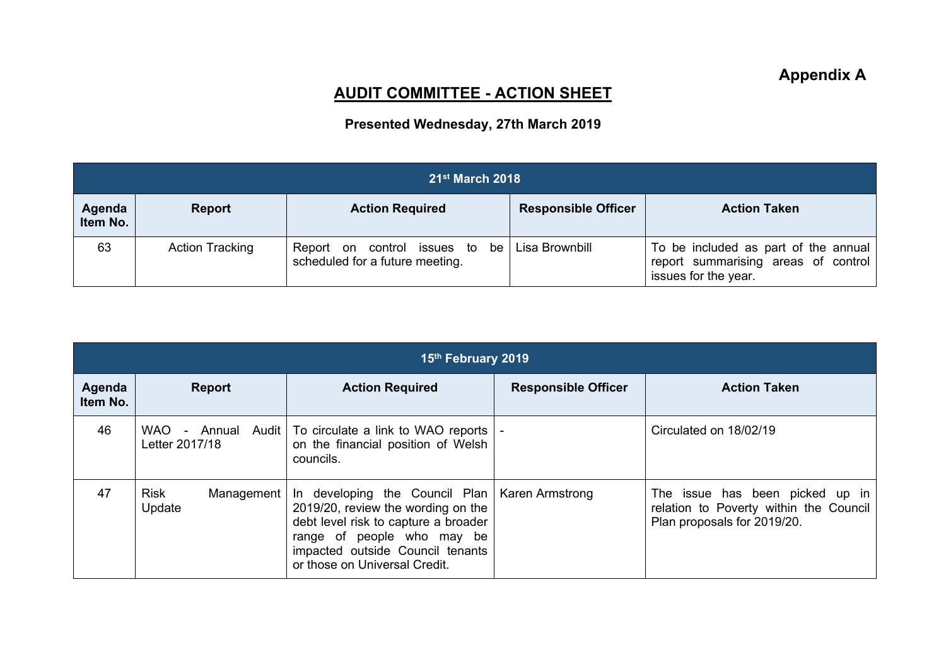## **AUDIT COMMITTEE - ACTION SHEET**

## **Presented Wednesday, 27th March 2019**

| $21$ <sup>st</sup> March 2018 |                        |                                                                                    |                            |                                                                                                     |  |  |  |
|-------------------------------|------------------------|------------------------------------------------------------------------------------|----------------------------|-----------------------------------------------------------------------------------------------------|--|--|--|
| Agenda<br>Item No.            | <b>Report</b>          | <b>Action Required</b>                                                             | <b>Responsible Officer</b> | <b>Action Taken</b>                                                                                 |  |  |  |
| 63                            | <b>Action Tracking</b> | Report on control issues to be   Lisa Brownbill<br>scheduled for a future meeting. |                            | To be included as part of the annual<br>report summarising areas of control<br>issues for the year. |  |  |  |

| 15th February 2019 |                                      |                                                                                                                                                                                                                                   |                            |                                                                                                          |  |  |  |
|--------------------|--------------------------------------|-----------------------------------------------------------------------------------------------------------------------------------------------------------------------------------------------------------------------------------|----------------------------|----------------------------------------------------------------------------------------------------------|--|--|--|
| Agenda<br>Item No. | <b>Report</b>                        | <b>Action Required</b>                                                                                                                                                                                                            | <b>Responsible Officer</b> | <b>Action Taken</b>                                                                                      |  |  |  |
| 46                 | WAO - Annual Audit<br>Letter 2017/18 | To circulate a link to WAO reports  <br>on the financial position of Welsh<br>councils.                                                                                                                                           |                            | Circulated on 18/02/19                                                                                   |  |  |  |
| 47                 | Risk<br>Management  <br>Update       | In developing the Council Plan   Karen Armstrong<br>2019/20, review the wording on the<br>debt level risk to capture a broader<br>range of people who may be<br>impacted outside Council tenants<br>or those on Universal Credit. |                            | The issue has been picked up in<br>relation to Poverty within the Council<br>Plan proposals for 2019/20. |  |  |  |